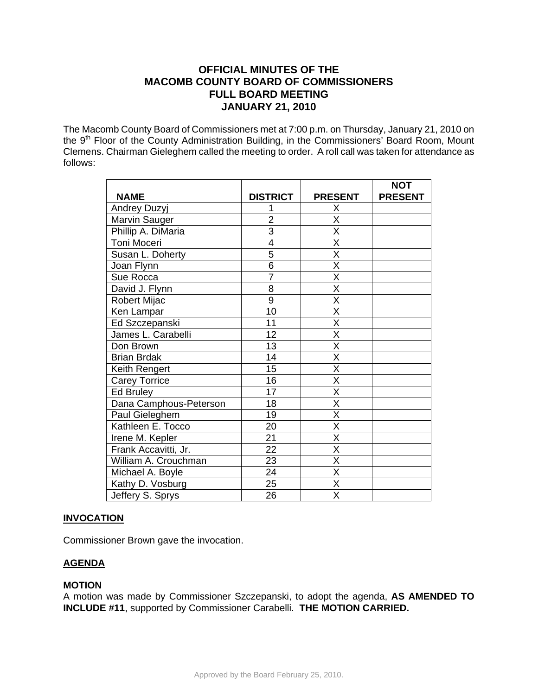# **OFFICIAL MINUTES OF THE MACOMB COUNTY BOARD OF COMMISSIONERS FULL BOARD MEETING JANUARY 21, 2010**

The Macomb County Board of Commissioners met at 7:00 p.m. on Thursday, January 21, 2010 on the 9<sup>th</sup> Floor of the County Administration Building, in the Commissioners' Board Room, Mount Clemens. Chairman Gieleghem called the meeting to order. A roll call was taken for attendance as follows:

|                        |                 |                         | <b>NOT</b>     |
|------------------------|-----------------|-------------------------|----------------|
| <b>NAME</b>            | <b>DISTRICT</b> | <b>PRESENT</b>          | <b>PRESENT</b> |
| Andrey Duzyj           |                 | X                       |                |
| Marvin Sauger          | $\overline{2}$  | X                       |                |
| Phillip A. DiMaria     | $\overline{3}$  | $\overline{\mathsf{x}}$ |                |
| Toni Moceri            | 4               | $\overline{\mathsf{x}}$ |                |
| Susan L. Doherty       | 5               | X                       |                |
| Joan Flynn             | 6               | X                       |                |
| Sue Rocca              | $\overline{7}$  | $\overline{\mathsf{x}}$ |                |
| David J. Flynn         | 8               | X                       |                |
| Robert Mijac           | $\overline{9}$  | $\overline{\mathsf{x}}$ |                |
| Ken Lampar             | 10              | X                       |                |
| Ed Szczepanski         | 11              | $\overline{\mathsf{X}}$ |                |
| James L. Carabelli     | 12              | X                       |                |
| Don Brown              | 13              | $\overline{\mathsf{x}}$ |                |
| <b>Brian Brdak</b>     | 14              | X                       |                |
| Keith Rengert          | 15              | $\overline{\mathsf{x}}$ |                |
| <b>Carey Torrice</b>   | 16              | $\overline{\mathsf{x}}$ |                |
| Ed Bruley              | 17              | $\overline{\mathsf{x}}$ |                |
| Dana Camphous-Peterson | 18              | $\overline{\mathsf{x}}$ |                |
| Paul Gieleghem         | 19              | $\overline{\mathsf{x}}$ |                |
| Kathleen E. Tocco      | 20              | X                       |                |
| Irene M. Kepler        | 21              | $\overline{\mathsf{x}}$ |                |
| Frank Accavitti, Jr.   | 22              | X                       |                |
| William A. Crouchman   | 23              | $\overline{\mathsf{X}}$ |                |
| Michael A. Boyle       | 24              | X                       |                |
| Kathy D. Vosburg       | 25              | $\overline{\mathsf{x}}$ |                |
| Jeffery S. Sprys       | 26              | X                       |                |

## **INVOCATION**

Commissioner Brown gave the invocation.

## **AGENDA**

## **MOTION**

A motion was made by Commissioner Szczepanski, to adopt the agenda, **AS AMENDED TO INCLUDE #11**, supported by Commissioner Carabelli. **THE MOTION CARRIED.**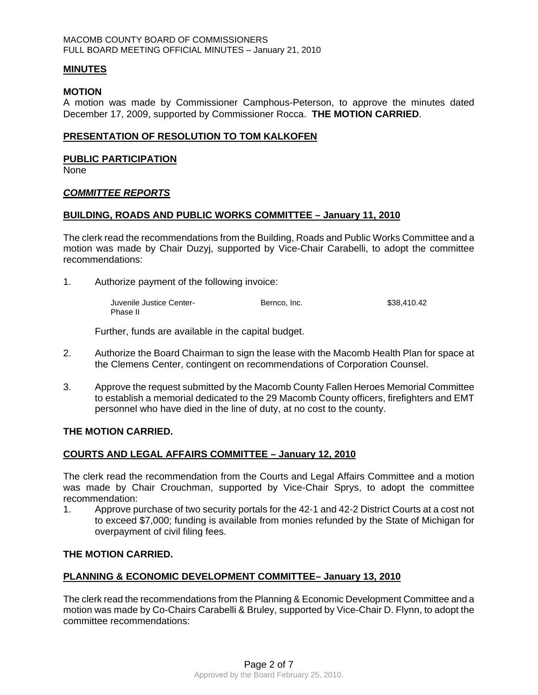#### **MINUTES**

#### **MOTION**

A motion was made by Commissioner Camphous-Peterson, to approve the minutes dated December 17, 2009, supported by Commissioner Rocca. **THE MOTION CARRIED**.

#### **PRESENTATION OF RESOLUTION TO TOM KALKOFEN**

#### **PUBLIC PARTICIPATION**

None

#### *COMMITTEE REPORTS*

#### **BUILDING, ROADS AND PUBLIC WORKS COMMITTEE – January 11, 2010**

The clerk read the recommendations from the Building, Roads and Public Works Committee and a motion was made by Chair Duzyj, supported by Vice-Chair Carabelli, to adopt the committee recommendations:

1. Authorize payment of the following invoice:

 Juvenile Justice Center- Bernco, Inc. \$38,410.42 Phase II

Further, funds are available in the capital budget.

- 2. Authorize the Board Chairman to sign the lease with the Macomb Health Plan for space at the Clemens Center, contingent on recommendations of Corporation Counsel.
- 3. Approve the request submitted by the Macomb County Fallen Heroes Memorial Committee to establish a memorial dedicated to the 29 Macomb County officers, firefighters and EMT personnel who have died in the line of duty, at no cost to the county.

### **THE MOTION CARRIED.**

### **COURTS AND LEGAL AFFAIRS COMMITTEE – January 12, 2010**

The clerk read the recommendation from the Courts and Legal Affairs Committee and a motion was made by Chair Crouchman, supported by Vice-Chair Sprys, to adopt the committee recommendation:

1. Approve purchase of two security portals for the 42-1 and 42-2 District Courts at a cost not to exceed \$7,000; funding is available from monies refunded by the State of Michigan for overpayment of civil filing fees.

### **THE MOTION CARRIED.**

### **PLANNING & ECONOMIC DEVELOPMENT COMMITTEE– January 13, 2010**

The clerk read the recommendations from the Planning & Economic Development Committee and a motion was made by Co-Chairs Carabelli & Bruley, supported by Vice-Chair D. Flynn, to adopt the committee recommendations: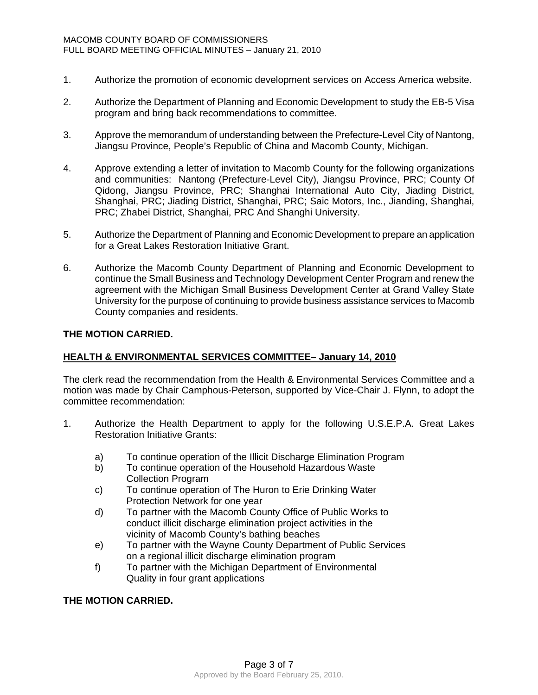- 1. Authorize the promotion of economic development services on Access America website.
- 2. Authorize the Department of Planning and Economic Development to study the EB-5 Visa program and bring back recommendations to committee.
- 3. Approve the memorandum of understanding between the Prefecture-Level City of Nantong, Jiangsu Province, People's Republic of China and Macomb County, Michigan.
- 4. Approve extending a letter of invitation to Macomb County for the following organizations and communities: Nantong (Prefecture-Level City), Jiangsu Province, PRC; County Of Qidong, Jiangsu Province, PRC; Shanghai International Auto City, Jiading District, Shanghai, PRC; Jiading District, Shanghai, PRC; Saic Motors, Inc., Jianding, Shanghai, PRC; Zhabei District, Shanghai, PRC And Shanghi University.
- 5. Authorize the Department of Planning and Economic Development to prepare an application for a Great Lakes Restoration Initiative Grant.
- 6. Authorize the Macomb County Department of Planning and Economic Development to continue the Small Business and Technology Development Center Program and renew the agreement with the Michigan Small Business Development Center at Grand Valley State University for the purpose of continuing to provide business assistance services to Macomb County companies and residents.

### **THE MOTION CARRIED.**

## **HEALTH & ENVIRONMENTAL SERVICES COMMITTEE– January 14, 2010**

The clerk read the recommendation from the Health & Environmental Services Committee and a motion was made by Chair Camphous-Peterson, supported by Vice-Chair J. Flynn, to adopt the committee recommendation:

- 1. Authorize the Health Department to apply for the following U.S.E.P.A. Great Lakes Restoration Initiative Grants:
	- a) To continue operation of the Illicit Discharge Elimination Program
	- b) To continue operation of the Household Hazardous Waste Collection Program
	- c) To continue operation of The Huron to Erie Drinking Water Protection Network for one year
	- d) To partner with the Macomb County Office of Public Works to conduct illicit discharge elimination project activities in the vicinity of Macomb County's bathing beaches
	- e) To partner with the Wayne County Department of Public Services on a regional illicit discharge elimination program
	- f) To partner with the Michigan Department of Environmental Quality in four grant applications

### **THE MOTION CARRIED.**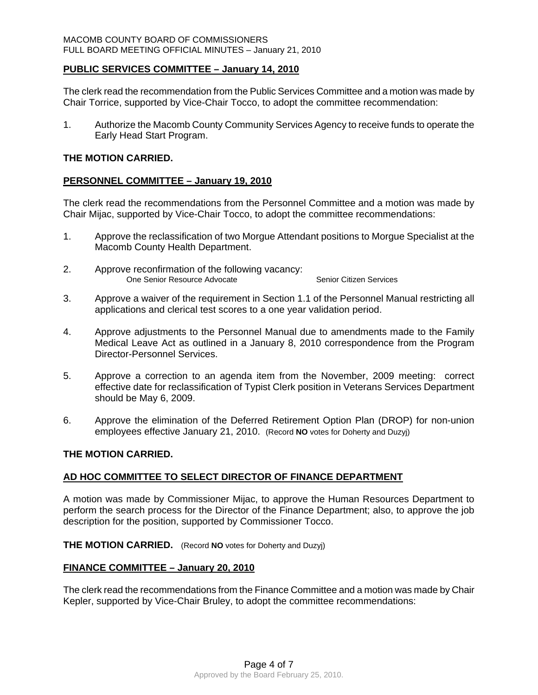### **PUBLIC SERVICES COMMITTEE – January 14, 2010**

The clerk read the recommendation from the Public Services Committee and a motion was made by Chair Torrice, supported by Vice-Chair Tocco, to adopt the committee recommendation:

1. Authorize the Macomb County Community Services Agency to receive funds to operate the Early Head Start Program.

#### **THE MOTION CARRIED.**

## **PERSONNEL COMMITTEE – January 19, 2010**

The clerk read the recommendations from the Personnel Committee and a motion was made by Chair Mijac, supported by Vice-Chair Tocco, to adopt the committee recommendations:

- 1. Approve the reclassification of two Morgue Attendant positions to Morgue Specialist at the Macomb County Health Department.
- 2. Approve reconfirmation of the following vacancy: One Senior Resource Advocate Senior Citizen Services
- 3. Approve a waiver of the requirement in Section 1.1 of the Personnel Manual restricting all applications and clerical test scores to a one year validation period.
- 4. Approve adjustments to the Personnel Manual due to amendments made to the Family Medical Leave Act as outlined in a January 8, 2010 correspondence from the Program Director-Personnel Services.
- 5. Approve a correction to an agenda item from the November, 2009 meeting: correct effective date for reclassification of Typist Clerk position in Veterans Services Department should be May 6, 2009.
- 6. Approve the elimination of the Deferred Retirement Option Plan (DROP) for non-union employees effective January 21, 2010. (Record **NO** votes for Doherty and Duzyj)

### **THE MOTION CARRIED.**

### **AD HOC COMMITTEE TO SELECT DIRECTOR OF FINANCE DEPARTMENT**

A motion was made by Commissioner Mijac, to approve the Human Resources Department to perform the search process for the Director of the Finance Department; also, to approve the job description for the position, supported by Commissioner Tocco.

**THE MOTION CARRIED.** (Record **NO** votes for Doherty and Duzyj)

### **FINANCE COMMITTEE – January 20, 2010**

The clerk read the recommendations from the Finance Committee and a motion was made by Chair Kepler, supported by Vice-Chair Bruley, to adopt the committee recommendations: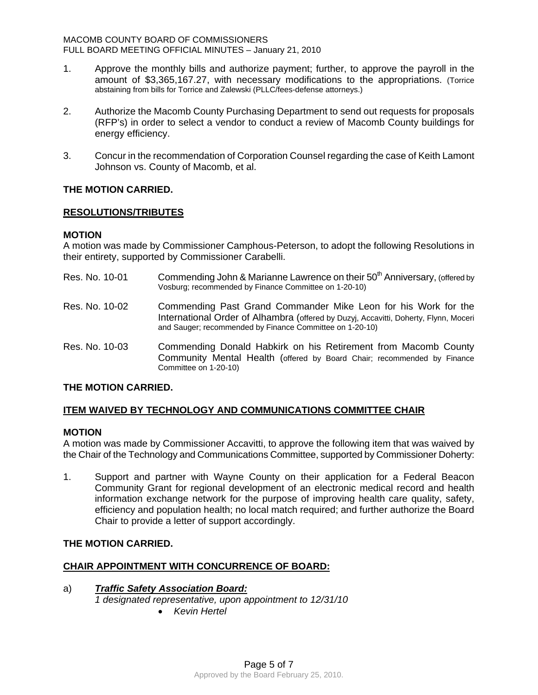- 1. Approve the monthly bills and authorize payment; further, to approve the payroll in the amount of \$3,365,167.27, with necessary modifications to the appropriations. (Torrice abstaining from bills for Torrice and Zalewski (PLLC/fees-defense attorneys.)
- 2. Authorize the Macomb County Purchasing Department to send out requests for proposals (RFP's) in order to select a vendor to conduct a review of Macomb County buildings for energy efficiency.
- 3. Concur in the recommendation of Corporation Counsel regarding the case of Keith Lamont Johnson vs. County of Macomb, et al.

## **THE MOTION CARRIED.**

## **RESOLUTIONS/TRIBUTES**

### **MOTION**

A motion was made by Commissioner Camphous-Peterson, to adopt the following Resolutions in their entirety, supported by Commissioner Carabelli.

- Res. No. 10-01 Commending John & Marianne Lawrence on their 50<sup>th</sup> Anniversary, (offered by Vosburg; recommended by Finance Committee on 1-20-10)
- Res. No. 10-02 Commending Past Grand Commander Mike Leon for his Work for the International Order of Alhambra (offered by Duzyj, Accavitti, Doherty, Flynn, Moceri and Sauger; recommended by Finance Committee on 1-20-10)
- Res. No. 10-03 Commending Donald Habkirk on his Retirement from Macomb County Community Mental Health (offered by Board Chair; recommended by Finance Committee on 1-20-10)

## **THE MOTION CARRIED.**

## **ITEM WAIVED BY TECHNOLOGY AND COMMUNICATIONS COMMITTEE CHAIR**

### **MOTION**

A motion was made by Commissioner Accavitti, to approve the following item that was waived by the Chair of the Technology and Communications Committee, supported by Commissioner Doherty:

1. Support and partner with Wayne County on their application for a Federal Beacon Community Grant for regional development of an electronic medical record and health information exchange network for the purpose of improving health care quality, safety, efficiency and population health; no local match required; and further authorize the Board Chair to provide a letter of support accordingly.

## **THE MOTION CARRIED.**

## **CHAIR APPOINTMENT WITH CONCURRENCE OF BOARD:**

- a)*Traffic Safety Association Board: 1 designated representative, upon appointment to 12/31/10* 
	- *Kevin Hertel*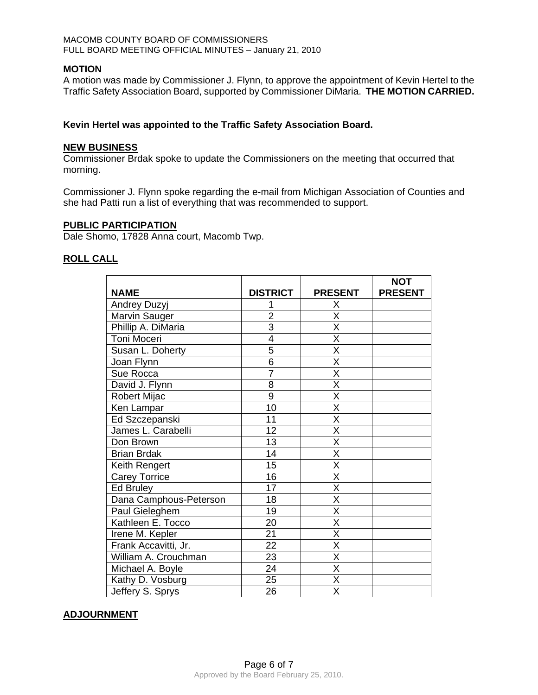### **MOTION**

A motion was made by Commissioner J. Flynn, to approve the appointment of Kevin Hertel to the Traffic Safety Association Board, supported by Commissioner DiMaria. **THE MOTION CARRIED.** 

## **Kevin Hertel was appointed to the Traffic Safety Association Board.**

### **NEW BUSINESS**

Commissioner Brdak spoke to update the Commissioners on the meeting that occurred that morning.

Commissioner J. Flynn spoke regarding the e-mail from Michigan Association of Counties and she had Patti run a list of everything that was recommended to support.

### **PUBLIC PARTICIPATION**

Dale Shomo, 17828 Anna court, Macomb Twp.

### **ROLL CALL**

|                        |                 |                         | <b>NOT</b>     |
|------------------------|-----------------|-------------------------|----------------|
| <b>NAME</b>            | <b>DISTRICT</b> | <b>PRESENT</b>          | <b>PRESENT</b> |
| Andrey Duzyj           |                 | Χ                       |                |
| Marvin Sauger          | $\overline{2}$  | $\overline{\sf x}$      |                |
| Phillip A. DiMaria     | 3               | X                       |                |
| Toni Moceri            | $\overline{4}$  | X                       |                |
| Susan L. Doherty       | 5               | X                       |                |
| Joan Flynn             | $\overline{6}$  | X                       |                |
| Sue Rocca              | $\overline{7}$  | X                       |                |
| David J. Flynn         | 8               | $\overline{\mathsf{x}}$ |                |
| <b>Robert Mijac</b>    | 9               | $\overline{\mathsf{x}}$ |                |
| Ken Lampar             | 10              | $\overline{\mathsf{x}}$ |                |
| Ed Szczepanski         | 11              | $\overline{\mathsf{x}}$ |                |
| James L. Carabelli     | 12              | $\overline{\mathsf{x}}$ |                |
| Don Brown              | 13              | X                       |                |
| <b>Brian Brdak</b>     | 14              | $\overline{\mathsf{x}}$ |                |
| Keith Rengert          | 15              | $\overline{\mathsf{x}}$ |                |
| <b>Carey Torrice</b>   | 16              | X                       |                |
| <b>Ed Bruley</b>       | 17              | $\overline{\mathsf{x}}$ |                |
| Dana Camphous-Peterson | $\overline{18}$ | $\overline{\sf x}$      |                |
| Paul Gieleghem         | 19              | X                       |                |
| Kathleen E. Tocco      | 20              | $\overline{\mathsf{x}}$ |                |
| Irene M. Kepler        | $\overline{21}$ | $\overline{\mathsf{x}}$ |                |
| Frank Accavitti, Jr.   | 22              | X                       |                |
| William A. Crouchman   | 23              | $\overline{\mathsf{x}}$ |                |
| Michael A. Boyle       | 24              | $\overline{\mathsf{x}}$ |                |
| Kathy D. Vosburg       | 25              | $\overline{\mathsf{x}}$ |                |
| Jeffery S. Sprys       | 26              | X                       |                |

## **ADJOURNMENT**